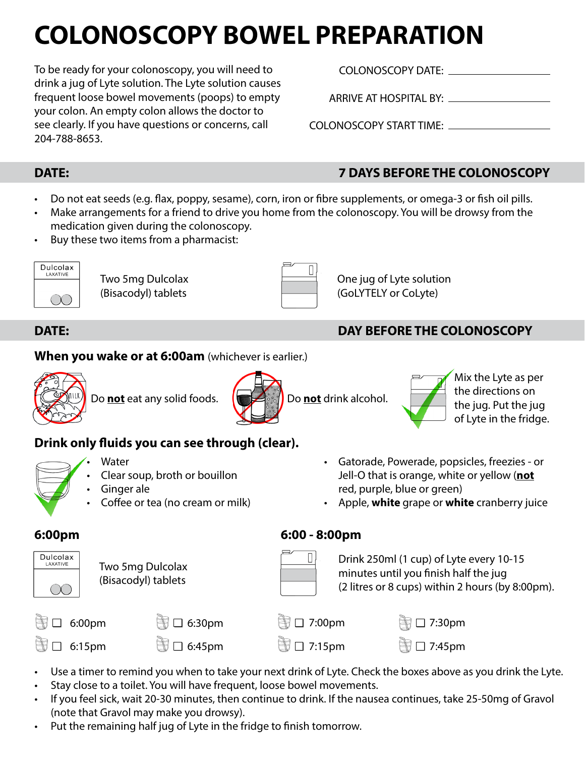# **COLONOSCOPY BOWEL PREPARATION**

To be ready for your colonoscopy, you will need to drink a jug of Lyte solution. The Lyte solution causes frequent loose bowel movements (poops) to empty your colon. An empty colon allows the doctor to see clearly. If you have questions or concerns, call 204-788-8653.

### COLONOSCOPY DATE:

ARRIVE AT HOSPITAL BY:

COLONOSCOPY START TIME:

- Do not eat seeds (e.g. flax, poppy, sesame), corn, iron or fibre supplements, or omega-3 or fish oil pills.
- Make arrangements for a friend to drive you home from the colonoscopy. You will be drowsy from the medication given during the colonoscopy.
- Buy these two items from a pharmacist:



Two 5mg Dulcolax (Bisacodyl) tablets

| - | × |  |
|---|---|--|
|   |   |  |
|   |   |  |

One jug of Lyte solution (GoLYTELY or CoLyte)

# **DATE: DAY BEFORE THE COLONOSCOPY**

#### **When you wake or at 6:00am** (whichever is earlier.)



Do **not** eat any solid foods. **Do let not** drink alcohol.





Mix the Lyte as per the directions on the jug. Put the jug of Lyte in the fridge.

# **Drink only fluids you can see through (clear).**

- 
- **Water**
- Clear soup, broth or bouillon
- Ginger ale
- Coffee or tea (no cream or milk)
- Gatorade, Powerade, popsicles, freezies or Jell-O that is orange, white or yellow (**not** red, purple, blue or green)
- Apple, **white** grape or **white** cranberry juice



Two 5mg Dulcolax (Bisacodyl) tablets

### **6:00pm 6:00 - 8:00pm**

Drink 250ml (1 cup) of Lyte every 10-15 minutes until you finish half the jug (2 litres or 8 cups) within 2 hours (by 8:00pm).

| 6:00 <sub>pm</sub> | $\Box$ 6:30pm            | <b>③ ロ 7:00pm</b>        | <b>图□ 7:30pm</b> |
|--------------------|--------------------------|--------------------------|------------------|
| 6:15 <sub>pm</sub> | $\bigcirc$ $\Box$ 6:45pm | $\bigcirc$ $\Box$ 7:15pm | <b>■□ 7:45pm</b> |

- Use a timer to remind you when to take your next drink of Lyte. Check the boxes above as you drink the Lyte.
- Stay close to a toilet. You will have frequent, loose bowel movements.
- If you feel sick, wait 20-30 minutes, then continue to drink. If the nausea continues, take 25-50mg of Gravol (note that Gravol may make you drowsy).
- Put the remaining half jug of Lyte in the fridge to finish tomorrow.

# **DATE: 7 DAYS BEFORE THE COLONOSCOPY**